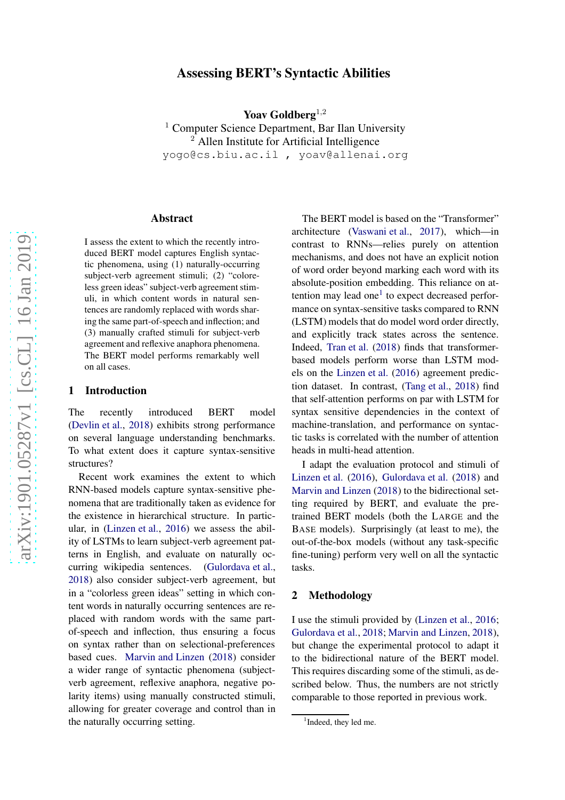# arXiv:1901.05287v1 [cs.CL] 16 Jan 2019 [arXiv:1901.05287v1 \[cs.CL\] 16 Jan 2019](http://arxiv.org/abs/1901.05287v1)

# Assessing BERT's Syntactic Abilities

Yoav Goldberg<sup>1,2</sup>

<sup>1</sup> Computer Science Department, Bar Ilan University <sup>2</sup> Allen Institute for Artificial Intelligence yogo@cs.biu.ac.il , yoav@allenai.org

### Abstract

I assess the extent to which the recently introduced BERT model captures English syntactic phenomena, using (1) naturally-occurring subject-verb agreement stimuli; (2) "coloreless green ideas" subject-verb agreement stimuli, in which content words in natural sentences are randomly replaced with words sharing the same part-of-speech and inflection; and (3) manually crafted stimuli for subject-verb agreement and reflexive anaphora phenomena. The BERT model performs remarkably well on all cases.

# 1 Introduction

The recently introduced BERT model [\(Devlin et al.](#page-3-0), [2018](#page-3-0)) exhibits strong performance on several language understanding benchmarks. To what extent does it capture syntax-sensitive structures?

Recent work examines the extent to which RNN-based models capture syntax-sensitive phenomena that are traditionally taken as evidence for the existence in hierarchical structure. In particular, in [\(Linzen et al.](#page-3-1), [2016\)](#page-3-1) we assess the ability of LSTMs to learn subject-verb agreement patterns in English, and evaluate on naturally occurring wikipedia sentences. [\(Gulordava et al.,](#page-3-2) [2018\)](#page-3-2) also consider subject-verb agreement, but in a "colorless green ideas" setting in which content words in naturally occurring sentences are replaced with random words with the same partof-speech and inflection, thus ensuring a focus on syntax rather than on selectional-preferences based cues. [Marvin and Linzen](#page-3-3) [\(2018](#page-3-3)) consider a wider range of syntactic phenomena (subjectverb agreement, reflexive anaphora, negative polarity items) using manually constructed stimuli, allowing for greater coverage and control than in the naturally occurring setting.

The BERT model is based on the "Transformer" architecture [\(Vaswani et al.](#page-3-4) , [2017\)](#page-3-4), which—in contrast to RNNs—relies purely on attention mechanisms, and does not have an explicit notion of word order beyond marking each word with its absolute-position embedding. This reliance on at-tention may lead one<sup>[1](#page-0-0)</sup> to expect decreased performance on syntax-sensitive tasks compared to RNN (LSTM) models that do model word order directly, and explicitly track states across the sentence. Indeed, [Tran et al.](#page-3-5) [\(2018](#page-3-5)) finds that transformerbased models perform worse than LSTM models on the [Linzen et al.](#page-3-1) [\(2016](#page-3-1)) agreement prediction dataset. In contrast, [\(Tang et al.](#page-3-6), [2018\)](#page-3-6) find that self-attention performs on par with LSTM for syntax sensitive dependencies in the context of machine-translation, and performance on syntactic tasks is correlated with the number of attention heads in multi-head attention.

I adapt the evaluation protocol and stimuli of [Linzen et al.](#page-3-1) [\(2016](#page-3-1)), [Gulordava et al.](#page-3-2) [\(2018](#page-3-2)) and [Marvin and Linzen](#page-3-3) [\(2018\)](#page-3-3) to the bidirectional setting required by BERT, and evaluate the pretrained BERT models (both the LARGE and the BASE models). Surprisingly (at least to me), the out-of-the-box models (without any task-specific fine-tuning) perform very well on all the syntactic tasks.

# 2 Methodology

I use the stimuli provided by [\(Linzen et al.](#page-3-1) , [2016](#page-3-1) ; [Gulordava et al.](#page-3-2) , [2018](#page-3-2) ; [Marvin and Linzen](#page-3-3) , [2018](#page-3-3)), but change the experimental protocol to adapt it to the bidirectional nature of the BERT model. This requires discarding some of the stimuli, as described below. Thus, the numbers are not strictly comparable to those reported in previous work.

<span id="page-0-0"></span><sup>&</sup>lt;sup>1</sup>Indeed, they led me.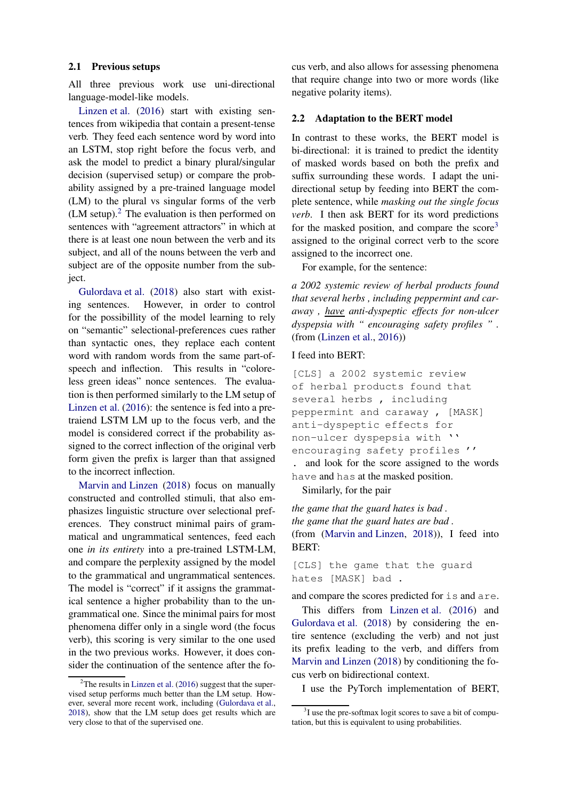### 2.1 Previous setups

All three previous work use uni-directional language-model-like models.

[Linzen et al.](#page-3-1) [\(2016](#page-3-1)) start with existing sentences from wikipedia that contain a present-tense verb. They feed each sentence word by word into an LSTM, stop right before the focus verb, and ask the model to predict a binary plural/singular decision (supervised setup) or compare the probability assigned by a pre-trained language model (LM) to the plural vs singular forms of the verb (LM setup). $<sup>2</sup>$  $<sup>2</sup>$  $<sup>2</sup>$  The evaluation is then performed on</sup> sentences with "agreement attractors" in which at there is at least one noun between the verb and its subject, and all of the nouns between the verb and subject are of the opposite number from the subject.

[Gulordava et al.](#page-3-2) [\(2018](#page-3-2)) also start with existing sentences. However, in order to control for the possibillity of the model learning to rely on "semantic" selectional-preferences cues rather than syntactic ones, they replace each content word with random words from the same part-ofspeech and inflection. This results in "coloreless green ideas" nonce sentences. The evaluation is then performed similarly to the LM setup of [Linzen et al.](#page-3-1) [\(2016](#page-3-1)): the sentence is fed into a pretraiend LSTM LM up to the focus verb, and the model is considered correct if the probability assigned to the correct inflection of the original verb form given the prefix is larger than that assigned to the incorrect inflection.

[Marvin and Linzen](#page-3-3) [\(2018\)](#page-3-3) focus on manually constructed and controlled stimuli, that also emphasizes linguistic structure over selectional preferences. They construct minimal pairs of grammatical and ungrammatical sentences, feed each one *in its entirety* into a pre-trained LSTM-LM, and compare the perplexity assigned by the model to the grammatical and ungrammatical sentences. The model is "correct" if it assigns the grammatical sentence a higher probability than to the ungrammatical one. Since the minimal pairs for most phenomena differ only in a single word (the focus verb), this scoring is very similar to the one used in the two previous works. However, it does consider the continuation of the sentence after the focus verb, and also allows for assessing phenomena that require change into two or more words (like negative polarity items).

### 2.2 Adaptation to the BERT model

In contrast to these works, the BERT model is bi-directional: it is trained to predict the identity of masked words based on both the prefix and suffix surrounding these words. I adapt the unidirectional setup by feeding into BERT the complete sentence, while *masking out the single focus verb*. I then ask BERT for its word predictions for the masked position, and compare the score<sup>[3](#page-1-1)</sup> assigned to the original correct verb to the score assigned to the incorrect one.

For example, for the sentence:

*a 2002 systemic review of herbal products found that several herbs , including peppermint and caraway , have anti-dyspeptic effects for non-ulcer dyspepsia with " encouraging safety profiles " .* (from [\(Linzen et al.,](#page-3-1) [2016](#page-3-1)))

# I feed into BERT:

[CLS] a 2002 systemic review of herbal products found that several herbs, including peppermint and caraway , [MASK] anti-dyspeptic effects for non-ulcer dyspepsia with '' encouraging safety profiles '' . and look for the score assigned to the words

have and has at the masked position.

Similarly, for the pair

*the game that the guard hates is bad . the game that the guard hates are bad .* (from [\(Marvin and Linzen,](#page-3-3) [2018](#page-3-3))), I feed into BERT:

[CLS] the game that the guard hates [MASK] bad .

and compare the scores predicted for is and are.

This differs from [Linzen et al.](#page-3-1) [\(2016](#page-3-1)) and [Gulordava et al.](#page-3-2) [\(2018](#page-3-2)) by considering the entire sentence (excluding the verb) and not just its prefix leading to the verb, and differs from [Marvin and Linzen](#page-3-3) [\(2018](#page-3-3)) by conditioning the focus verb on bidirectional context.

I use the PyTorch implementation of BERT,

<span id="page-1-0"></span> $2$ The results in [Linzen et al.](#page-3-1) [\(2016\)](#page-3-1) suggest that the supervised setup performs much better than the LM setup. However, several more recent work, including [\(Gulordava et al.](#page-3-2), [2018\)](#page-3-2), show that the LM setup does get results which are very close to that of the supervised one.

<span id="page-1-1"></span><sup>&</sup>lt;sup>3</sup>I use the pre-softmax logit scores to save a bit of computation, but this is equivalent to using probabilities.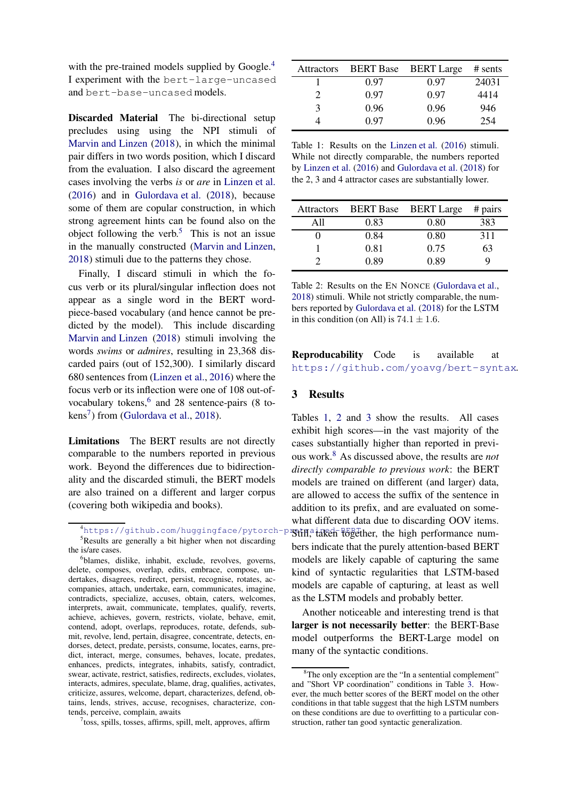with the pre-trained models supplied by Google.<sup>[4](#page-2-0)</sup> I experiment with the bert-large-uncased and bert-base-uncased models.

Discarded Material The bi-directional setup precludes using using the NPI stimuli of [Marvin and Linzen](#page-3-3) [\(2018](#page-3-3)), in which the minimal pair differs in two words position, which I discard from the evaluation. I also discard the agreement cases involving the verbs *is* or *are* in [Linzen et al.](#page-3-1) [\(2016](#page-3-1)) and in [Gulordava et al.](#page-3-2) [\(2018](#page-3-2)), because some of them are copular construction, in which strong agreement hints can be found also on the object following the verb.<sup>[5](#page-2-1)</sup> This is not an issue in the manually constructed [\(Marvin and Linzen](#page-3-3), [2018\)](#page-3-3) stimuli due to the patterns they chose.

Finally, I discard stimuli in which the focus verb or its plural/singular inflection does not appear as a single word in the BERT wordpiece-based vocabulary (and hence cannot be predicted by the model). This include discarding [Marvin and Linzen](#page-3-3) [\(2018](#page-3-3)) stimuli involving the words *swims* or *admires*, resulting in 23,368 discarded pairs (out of 152,300). I similarly discard 680 sentences from [\(Linzen et al.,](#page-3-1) [2016](#page-3-1)) where the focus verb or its inflection were one of 108 out-of-vocabulary tokens,<sup>[6](#page-2-2)</sup> and 28 sentence-pairs (8 to- $kens<sup>7</sup>$  $kens<sup>7</sup>$  $kens<sup>7</sup>$ ) from [\(Gulordava et al.,](#page-3-2) [2018](#page-3-2)).

Limitations The BERT results are not directly comparable to the numbers reported in previous work. Beyond the differences due to bidirectionality and the discarded stimuli, the BERT models are also trained on a different and larger corpus (covering both wikipedia and books).

<span id="page-2-3"></span>7 toss, spills, tosses, affirms, spill, melt, approves, affirm

<span id="page-2-4"></span>

| <b>Attractors</b> | <b>BERT</b> Base | <b>BERT</b> Large | $#$ sents |
|-------------------|------------------|-------------------|-----------|
|                   | 0.97             | 0.97              | 24031     |
| 2                 | 0.97             | 0.97              | 4414      |
| 3                 | 0.96             | 0.96              | 946       |
|                   | 0 97             | 0.96              | 254       |

Table 1: Results on the [Linzen et al.](#page-3-1) [\(2016\)](#page-3-1) stimuli. While not directly comparable, the numbers reported by [Linzen et al.](#page-3-1) [\(2016\)](#page-3-1) and [Gulordava et al.](#page-3-2) [\(2018\)](#page-3-2) for the 2, 3 and 4 attractor cases are substantially lower.

<span id="page-2-5"></span>

| <b>Attractors</b> | <b>BERT Base</b> | <b>BERT</b> Large | # pairs |
|-------------------|------------------|-------------------|---------|
| A 11              | 0.83             | 0.80              | 383     |
|                   | 0.84             | 0.80              | 311     |
|                   | 0.81             | 0.75              | 63      |
|                   | 0.89             | 0.89              |         |

Table 2: Results on the EN NONCE [\(Gulordava et al.](#page-3-2), [2018](#page-3-2)) stimuli. While not strictly comparable, the numbers reported by [Gulordava et al.](#page-3-2) [\(2018](#page-3-2)) for the LSTM in this condition (on All) is  $74.1 \pm 1.6$ .

# Reproducability Code is available at <https://github.com/yoavg/bert-syntax>.

### 3 Results

Tables [1,](#page-2-4) [2](#page-2-5) and [3](#page-3-7) show the results. All cases exhibit high scores—in the vast majority of the cases substantially higher than reported in previous work.[8](#page-2-6) As discussed above, the results are *not directly comparable to previous work*: the BERT models are trained on different (and larger) data, are allowed to access the suffix of the sentence in addition to its prefix, and are evaluated on somewhat different data due to discarding OOV items. **Still, taken together, the high performance num**bers indicate that the purely attention-based BERT models are likely capable of capturing the same kind of syntactic regularities that LSTM-based models are capable of capturing, at least as well as the LSTM models and probably better.

Another noticeable and interesting trend is that larger is not necessarily better: the BERT-Base model outperforms the BERT-Large model on many of the syntactic conditions.

<span id="page-2-0"></span> $4$ https://qithub.com/huqqinqface/pytorch-p <sup>5</sup>Results are generally a bit higher when not discarding the is/are cases.

<span id="page-2-2"></span><span id="page-2-1"></span><sup>6</sup> blames, dislike, inhabit, exclude, revolves, governs, delete, composes, overlap, edits, embrace, compose, undertakes, disagrees, redirect, persist, recognise, rotates, accompanies, attach, undertake, earn, communicates, imagine, contradicts, specialize, accuses, obtain, caters, welcomes, interprets, await, communicate, templates, qualify, reverts, achieve, achieves, govern, restricts, violate, behave, emit, contend, adopt, overlaps, reproduces, rotate, defends, submit, revolve, lend, pertain, disagree, concentrate, detects, endorses, detect, predate, persists, consume, locates, earns, predict, interact, merge, consumes, behaves, locate, predates, enhances, predicts, integrates, inhabits, satisfy, contradict, swear, activate, restrict, satisfies, redirects, excludes, violates, interacts, admires, speculate, blame, drag, qualifies, activates, criticize, assures, welcome, depart, characterizes, defend, obtains, lends, strives, accuse, recognises, characterize, contends, perceive, complain, awaits

<span id="page-2-6"></span> ${}^{8}$ The only exception are the "In a sentential complement" and "Short VP coordination" conditions in Table [3.](#page-3-7) However, the much better scores of the BERT model on the other conditions in that table suggest that the high LSTM numbers on these conditions are due to overfitting to a particular construction, rather tan good syntactic generalization.